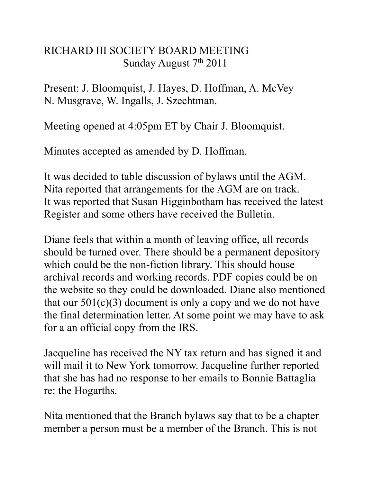## RICHARD III SOCIETY BOARD MEETING Sunday August  $7<sup>th</sup> 2011$

Present: J. Bloomquist, J. Hayes, D. Hoffman, A. McVey N. Musgrave, W. Ingalls, J. Szechtman.

Meeting opened at 4:05pm ET by Chair J. Bloomquist.

Minutes accepted as amended by D. Hoffman.

It was decided to table discussion of bylaws until the AGM. Nita reported that arrangements for the AGM are on track. It was reported that Susan Higginbotham has received the latest Register and some others have received the Bulletin.

Diane feels that within a month of leaving office, all records should be turned over. There should be a permanent depository which could be the non-fiction library. This should house archival records and working records. PDF copies could be on the website so they could be downloaded. Diane also mentioned that our  $501(c)(3)$  document is only a copy and we do not have the final determination letter. At some point we may have to ask for a an official copy from the IRS.

Jacqueline has received the NY tax return and has signed it and will mail it to New York tomorrow. Jacqueline further reported that she has had no response to her emails to Bonnie Battaglia re: the Hogarths.

Nita mentioned that the Branch bylaws say that to be a chapter member a person must be a member of the Branch. This is not